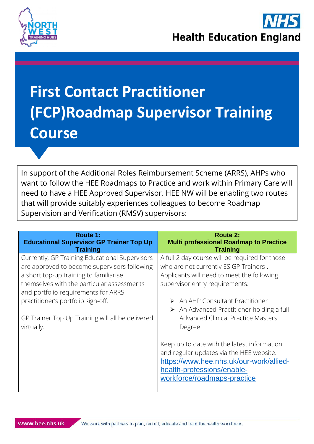

## **First Contact Practitioner (FCP)Roadmap Supervisor Training Course**

In support of the Additional Roles Reimbursement Scheme (ARRS), AHPs who want to follow the HEE Roadmaps to Practice and work within Primary Care will need to have a HEE Approved Supervisor. HEE NW will be enabling two routes that will provide suitably experiences colleagues to become Roadmap Supervision and Verification (RMSV) supervisors:

| Route 1:<br><b>Educational Supervisor GP Trainer Top Up</b><br><b>Training</b>                                                                                                                                                                                                                                                        | <b>Route 2:</b><br><b>Multi professional Roadmap to Practice</b><br><b>Training</b>                                                                                                                                                                                                                                               |
|---------------------------------------------------------------------------------------------------------------------------------------------------------------------------------------------------------------------------------------------------------------------------------------------------------------------------------------|-----------------------------------------------------------------------------------------------------------------------------------------------------------------------------------------------------------------------------------------------------------------------------------------------------------------------------------|
| Currently, GP Training Educational Supervisors<br>are approved to become supervisors following<br>a short top-up training to familiarise<br>themselves with the particular assessments<br>and portfolio requirements for ARRS<br>practitioner's portfolio sign-off.<br>GP Trainer Top Up Training will all be delivered<br>virtually. | A full 2 day course will be required for those<br>who are not currently ES GP Trainers.<br>Applicants will need to meet the following<br>supervisor entry requirements:<br>An AHP Consultant Practitioner<br>➤<br>$\triangleright$ An Advanced Practitioner holding a full<br><b>Advanced Clinical Practice Masters</b><br>Degree |
|                                                                                                                                                                                                                                                                                                                                       | Keep up to date with the latest information<br>and regular updates via the HEE website.<br>https://www.hee.nhs.uk/our-work/allied-<br>health-professions/enable-<br>workforce/roadmaps-practice                                                                                                                                   |